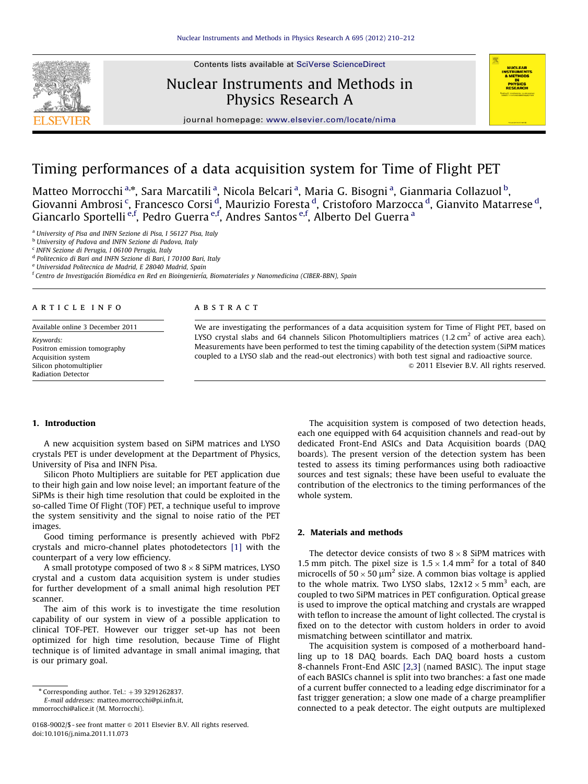Contents lists available at [SciVerse ScienceDirect](www.elsevier.com/locate/nima)



## Nuclear Instruments and Methods in Physics Research A



journal homepage: <www.elsevier.com/locate/nima>

# Timing performances of a data acquisition system for Time of Flight PET

Matteo Morrocchi <sup>a,</sup>\*, Sara Marcatili <sup>a</sup>, Nicola Belcari <sup>a</sup>, Maria G. Bisogni <sup>a</sup>, Gianmaria Collazuol <sup>b</sup>, Giovanni Ambrosi <sup>c</sup>, Francesco Corsi <sup>d</sup>, Maurizio Foresta <sup>d</sup>, Cristoforo Marzocca <sup>d</sup>, Gianvito Matarrese <sup>d</sup>, Giancarlo Sportelli <sup>e,f</sup>, Pedro Guerra <sup>e,f</sup>, Andres Santos <sup>e,f</sup>, Alberto Del Guerra <sup>a</sup>

<sup>a</sup> University of Pisa and INFN Sezione di Pisa, I 56127 Pisa, Italy

**b University of Padova and INFN Sezione di Padova, Italy** 

<sup>c</sup> INFN Sezione di Perugia, I 06100 Perugia, Italy

<sup>d</sup> Politecnico di Bari and INFN Sezione di Bari, I 70100 Bari, Italy

<sup>e</sup> Universidad Politecnica de Madrid, E 28040 Madrid, Spain

 $^{\rm f}$ Centro de Investigación Biomédica en Red en Bioingeniería, Biomateriales y Nanomedicina (CIBER-BBN), Spain

#### article info

Available online 3 December 2011

Keywords: Positron emission tomography Acquisition system Silicon photomultiplier Radiation Detector

## **ABSTRACT**

We are investigating the performances of a data acquisition system for Time of Flight PET, based on LYSO crystal slabs and 64 channels Silicon Photomultipliers matrices (1.2 cm<sup>2</sup> of active area each). Measurements have been performed to test the timing capability of the detection system (SiPM matices coupled to a LYSO slab and the read-out electronics) with both test signal and radioactive source.  $\odot$  2011 Elsevier B.V. All rights reserved.

#### 1. Introduction

A new acquisition system based on SiPM matrices and LYSO crystals PET is under development at the Department of Physics, University of Pisa and INFN Pisa.

Silicon Photo Multipliers are suitable for PET application due to their high gain and low noise level; an important feature of the SiPMs is their high time resolution that could be exploited in the so-called Time Of Flight (TOF) PET, a technique useful to improve the system sensitivity and the signal to noise ratio of the PET images.

Good timing performance is presently achieved with PbF2 crystals and micro-channel plates photodetectors [\[1\]](#page-2-0) with the counterpart of a very low efficiency.

A small prototype composed of two 8  $\times$  8 SiPM matrices, LYSO crystal and a custom data acquisition system is under studies for further development of a small animal high resolution PET scanner.

The aim of this work is to investigate the time resolution capability of our system in view of a possible application to clinical TOF-PET. However our trigger set-up has not been optimized for high time resolution, because Time of Flight technique is of limited advantage in small animal imaging, that is our primary goal.

E-mail addresses: [matteo.morrocchi@pi.infn.it](mailto:matteo.morrocchi@pi.infn.it), [mmorrocchi@alice.it \(M. Morrocchi\)](mailto:mmorrocchi@alice.it).

0168-9002/\$ - see front matter  $\odot$  2011 Elsevier B.V. All rights reserved. doi:[10.1016/j.nima.2011.11.073](dx.doi.org/10.1016/j.nima.2011.11.073)

The acquisition system is composed of two detection heads, each one equipped with 64 acquisition channels and read-out by dedicated Front-End ASICs and Data Acquisition boards (DAQ boards). The present version of the detection system has been tested to assess its timing performances using both radioactive sources and test signals; these have been useful to evaluate the contribution of the electronics to the timing performances of the whole system.

## 2. Materials and methods

The detector device consists of two  $8 \times 8$  SiPM matrices with 1.5 mm pitch. The pixel size is  $1.5 \times 1.4$  mm<sup>2</sup> for a total of 840 microcells of  $50 \times 50 \mu m^2$  size. A common bias voltage is applied to the whole matrix. Two LYSO slabs,  $12x12 \times 5$  mm<sup>3</sup> each, are coupled to two SiPM matrices in PET configuration. Optical grease is used to improve the optical matching and crystals are wrapped with teflon to increase the amount of light collected. The crystal is fixed on to the detector with custom holders in order to avoid mismatching between scintillator and matrix.

The acquisition system is composed of a motherboard handling up to 18 DAQ boards. Each DAQ board hosts a custom 8-channels Front-End ASIC [\[2,3](#page-2-0)] (named BASIC). The input stage of each BASICs channel is split into two branches: a fast one made of a current buffer connected to a leading edge discriminator for a fast trigger generation; a slow one made of a charge preamplifier connected to a peak detector. The eight outputs are multiplexed

 $*$  Corresponding author. Tel.:  $+39$  3291262837.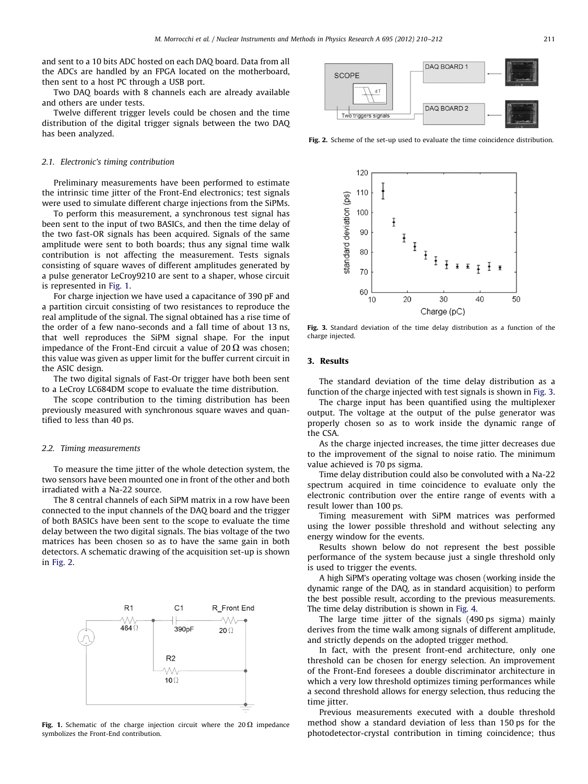and sent to a 10 bits ADC hosted on each DAQ board. Data from all the ADCs are handled by an FPGA located on the motherboard, then sent to a host PC through a USB port.

Two DAQ boards with 8 channels each are already available and others are under tests.

Twelve different trigger levels could be chosen and the time distribution of the digital trigger signals between the two DAQ has been analyzed.

#### 2.1. Electronic's timing contribution

Preliminary measurements have been performed to estimate the intrinsic time jitter of the Front-End electronics; test signals were used to simulate different charge injections from the SiPMs.

To perform this measurement, a synchronous test signal has been sent to the input of two BASICs, and then the time delay of the two fast-OR signals has been acquired. Signals of the same amplitude were sent to both boards; thus any signal time walk contribution is not affecting the measurement. Tests signals consisting of square waves of different amplitudes generated by a pulse generator LeCroy9210 are sent to a shaper, whose circuit is represented in Fig. 1.

For charge injection we have used a capacitance of 390 pF and a partition circuit consisting of two resistances to reproduce the real amplitude of the signal. The signal obtained has a rise time of the order of a few nano-seconds and a fall time of about 13 ns, that well reproduces the SiPM signal shape. For the input impedance of the Front-End circuit a value of 20  $\Omega$  was chosen; this value was given as upper limit for the buffer current circuit in the ASIC design.

The two digital signals of Fast-Or trigger have both been sent to a LeCroy LC684DM scope to evaluate the time distribution.

The scope contribution to the timing distribution has been previously measured with synchronous square waves and quantified to less than 40 ps.

#### 2.2. Timing measurements

To measure the time jitter of the whole detection system, the two sensors have been mounted one in front of the other and both irradiated with a Na-22 source.

The 8 central channels of each SiPM matrix in a row have been connected to the input channels of the DAQ board and the trigger of both BASICs have been sent to the scope to evaluate the time delay between the two digital signals. The bias voltage of the two matrices has been chosen so as to have the same gain in both detectors. A schematic drawing of the acquisition set-up is shown in Fig. 2.



Fig. 1. Schematic of the charge injection circuit where the 20  $\Omega$  impedance symbolizes the Front-End contribution.



Fig. 2. Scheme of the set-up used to evaluate the time coincidence distribution.



Fig. 3. Standard deviation of the time delay distribution as a function of the charge injected.

## 3. Results

The standard deviation of the time delay distribution as a function of the charge injected with test signals is shown in Fig. 3.

The charge input has been quantified using the multiplexer output. The voltage at the output of the pulse generator was properly chosen so as to work inside the dynamic range of the CSA.

As the charge injected increases, the time jitter decreases due to the improvement of the signal to noise ratio. The minimum value achieved is 70 ps sigma.

Time delay distribution could also be convoluted with a Na-22 spectrum acquired in time coincidence to evaluate only the electronic contribution over the entire range of events with a result lower than 100 ps.

Timing measurement with SiPM matrices was performed using the lower possible threshold and without selecting any energy window for the events.

Results shown below do not represent the best possible performance of the system because just a single threshold only is used to trigger the events.

A high SiPM's operating voltage was chosen (working inside the dynamic range of the DAQ, as in standard acquisition) to perform the best possible result, according to the previous measurements. The time delay distribution is shown in [Fig. 4](#page-2-0).

The large time jitter of the signals (490 ps sigma) mainly derives from the time walk among signals of different amplitude, and strictly depends on the adopted trigger method.

In fact, with the present front-end architecture, only one threshold can be chosen for energy selection. An improvement of the Front-End foresees a double discriminator architecture in which a very low threshold optimizes timing performances while a second threshold allows for energy selection, thus reducing the time *itter*.

Previous measurements executed with a double threshold method show a standard deviation of less than 150 ps for the photodetector-crystal contribution in timing coincidence; thus